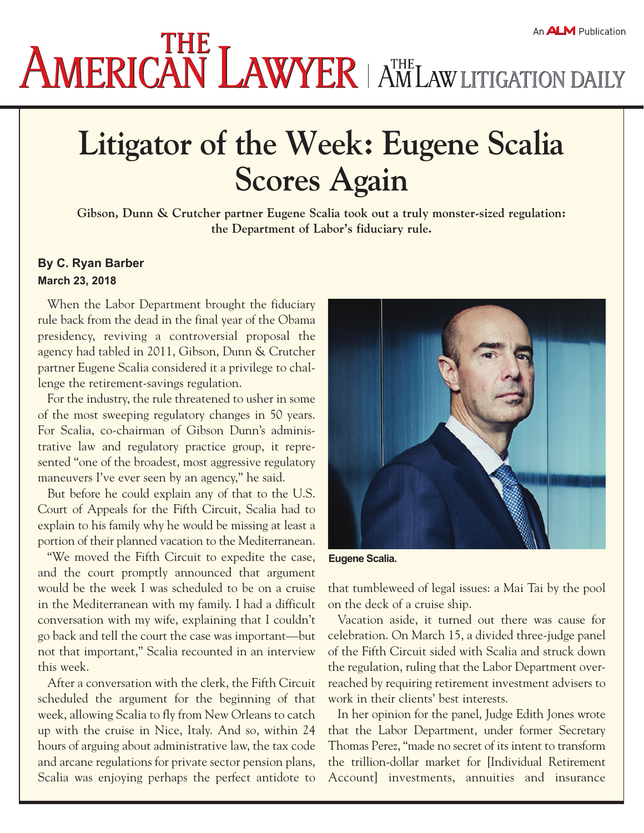## **AMERICAN LAWYER AMERICANY SERVICERS**

## **Litigator of the Week: Eugene Scalia Scores Again**

**Gibson, Dunn & Crutcher partner Eugene Scalia took out a truly monster-sized regulation: the Department of Labor's fiduciary rule.**

## **By [C. Ryan Barber](file:///U:/Windows/Desktop/K4/author/profile/C. Ryan Barber/) March 23, 2018**

When the Labor Department brought the fiduciary rule back from the dead in the final year of the Obama presidency, reviving a controversial proposal the agency had tabled in 2011, Gibson, Dunn & Crutcher partner Eugene Scalia considered it a privilege to challenge the retirement-savings regulation.

For the industry, the rule threatened to usher in some of the most sweeping regulatory changes in 50 years. For Scalia, co-chairman of Gibson Dunn's administrative law and regulatory practice group, it represented "one of the broadest, most aggressive regulatory maneuvers I've ever seen by an agency," he said.

But before he could explain any of that to the U.S. Court of Appeals for the Fifth Circuit, Scalia had to explain to his family why he would be missing at least a portion of their planned vacation to the Mediterranean.

"We moved the Fifth Circuit to expedite the case, and the court promptly announced that argument would be the week I was scheduled to be on a cruise in the Mediterranean with my family. I had a difficult conversation with my wife, explaining that I couldn't go back and tell the court the case was important—but not that important," Scalia recounted in an interview this week.

After a conversation with the clerk, the Fifth Circuit scheduled the argument for the beginning of that week, allowing Scalia to fly from New Orleans to catch up with the cruise in Nice, Italy. And so, within 24 hours of arguing about administrative law, the tax code and arcane regulations for private sector pension plans, Scalia was enjoying perhaps the perfect antidote to



**Eugene Scalia.**

that tumbleweed of legal issues: a Mai Tai by the pool on the deck of a cruise ship.

Vacation aside, it turned out there was cause for celebration. On March 15, a divided three-judge panel of the Fifth Circuit sided with Scalia and struck down the regulation, ruling that the Labor Department overreached by requiring retirement investment advisers to work in their clients' best interests.

In her [opinion](http://www.ca5.uscourts.gov/opinions/pub/17/17-10238-CV0.pdf) for the panel, Judge Edith Jones wrote that the Labor Department, under former Secretary Thomas Perez, "made no secret of its intent to transform the trillion-dollar market for [Individual Retirement Account] investments, annuities and insurance